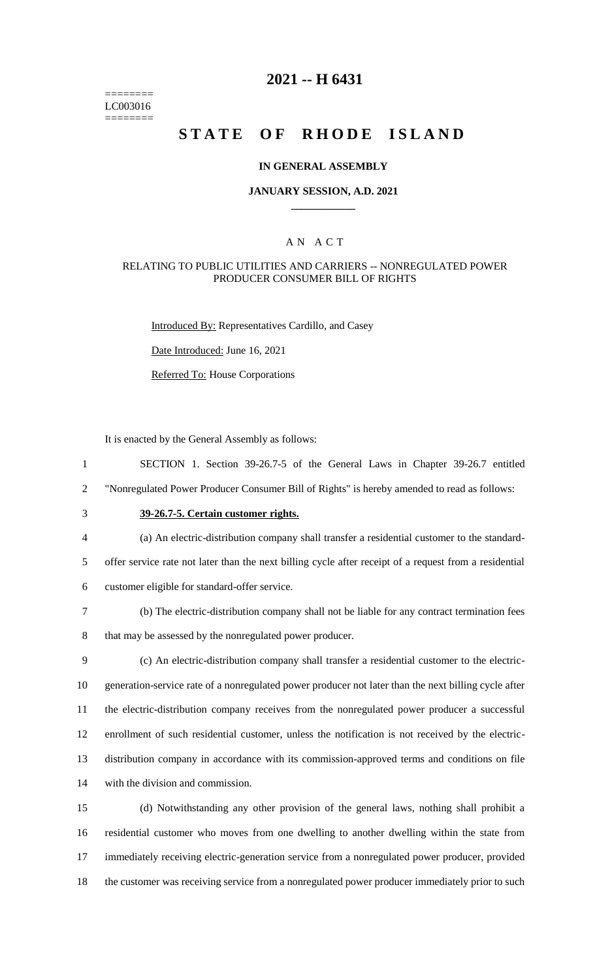======== LC003016 ========

# **2021 -- H 6431**

# **STATE OF RHODE ISLAND**

#### **IN GENERAL ASSEMBLY**

#### **JANUARY SESSION, A.D. 2021 \_\_\_\_\_\_\_\_\_\_\_\_**

### A N A C T

### RELATING TO PUBLIC UTILITIES AND CARRIERS -- NONREGULATED POWER PRODUCER CONSUMER BILL OF RIGHTS

Introduced By: Representatives Cardillo, and Casey

Date Introduced: June 16, 2021

Referred To: House Corporations

It is enacted by the General Assembly as follows:

1 SECTION 1. Section 39-26.7-5 of the General Laws in Chapter 39-26.7 entitled

2 "Nonregulated Power Producer Consumer Bill of Rights" is hereby amended to read as follows:

# 3 **39-26.7-5. Certain customer rights.**

4 (a) An electric-distribution company shall transfer a residential customer to the standard-

5 offer service rate not later than the next billing cycle after receipt of a request from a residential

- 6 customer eligible for standard-offer service.
- 7 (b) The electric-distribution company shall not be liable for any contract termination fees

8 that may be assessed by the nonregulated power producer.

 (c) An electric-distribution company shall transfer a residential customer to the electric- generation-service rate of a nonregulated power producer not later than the next billing cycle after the electric-distribution company receives from the nonregulated power producer a successful enrollment of such residential customer, unless the notification is not received by the electric- distribution company in accordance with its commission-approved terms and conditions on file with the division and commission.

 (d) Notwithstanding any other provision of the general laws, nothing shall prohibit a residential customer who moves from one dwelling to another dwelling within the state from immediately receiving electric-generation service from a nonregulated power producer, provided the customer was receiving service from a nonregulated power producer immediately prior to such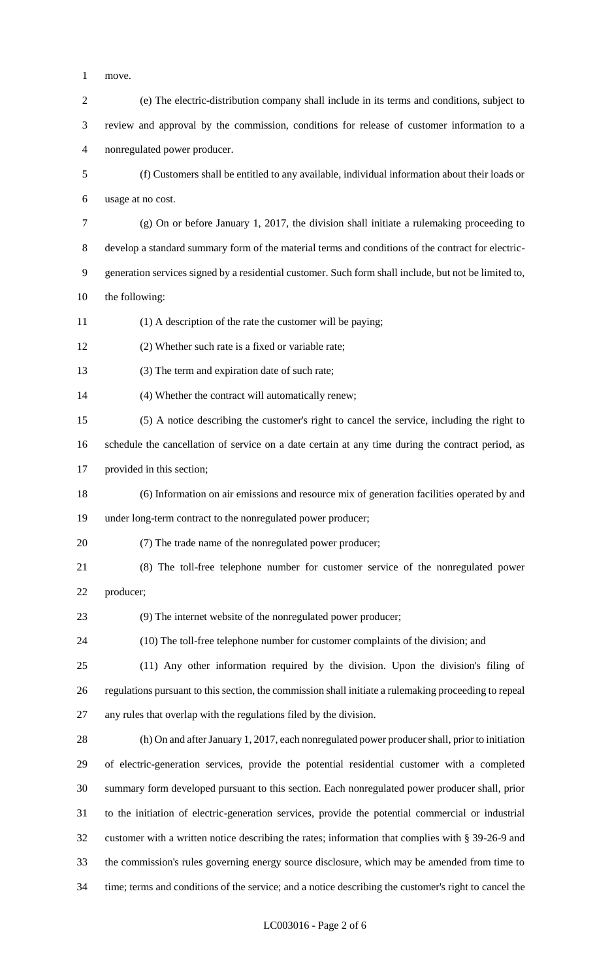- move.
- (e) The electric-distribution company shall include in its terms and conditions, subject to review and approval by the commission, conditions for release of customer information to a nonregulated power producer. (f) Customers shall be entitled to any available, individual information about their loads or usage at no cost.
- (g) On or before January 1, 2017, the division shall initiate a rulemaking proceeding to develop a standard summary form of the material terms and conditions of the contract for electric- generation services signed by a residential customer. Such form shall include, but not be limited to, the following:
- (1) A description of the rate the customer will be paying;
- (2) Whether such rate is a fixed or variable rate;
- 13 (3) The term and expiration date of such rate;
- (4) Whether the contract will automatically renew;
- (5) A notice describing the customer's right to cancel the service, including the right to
- schedule the cancellation of service on a date certain at any time during the contract period, as
- provided in this section;
- (6) Information on air emissions and resource mix of generation facilities operated by and under long-term contract to the nonregulated power producer;
- (7) The trade name of the nonregulated power producer;
- (8) The toll-free telephone number for customer service of the nonregulated power
- producer;

(9) The internet website of the nonregulated power producer;

- (10) The toll-free telephone number for customer complaints of the division; and
- (11) Any other information required by the division. Upon the division's filing of regulations pursuant to this section, the commission shall initiate a rulemaking proceeding to repeal any rules that overlap with the regulations filed by the division.
- (h) On and after January 1, 2017, each nonregulated power producer shall, prior to initiation of electric-generation services, provide the potential residential customer with a completed summary form developed pursuant to this section. Each nonregulated power producer shall, prior to the initiation of electric-generation services, provide the potential commercial or industrial customer with a written notice describing the rates; information that complies with § 39-26-9 and the commission's rules governing energy source disclosure, which may be amended from time to time; terms and conditions of the service; and a notice describing the customer's right to cancel the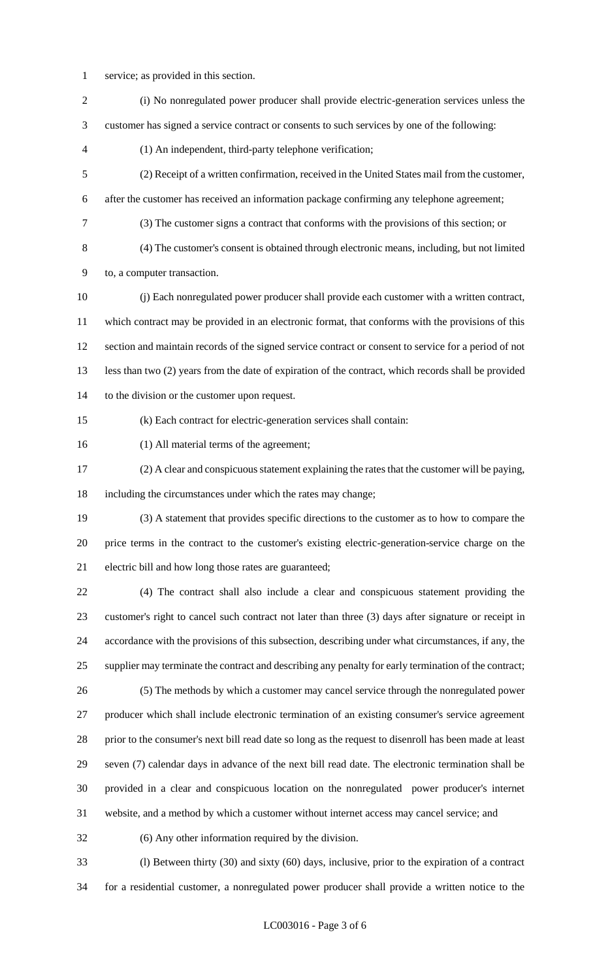- service; as provided in this section.
- (i) No nonregulated power producer shall provide electric-generation services unless the customer has signed a service contract or consents to such services by one of the following: (1) An independent, third-party telephone verification; (2) Receipt of a written confirmation, received in the United States mail from the customer, after the customer has received an information package confirming any telephone agreement; (3) The customer signs a contract that conforms with the provisions of this section; or (4) The customer's consent is obtained through electronic means, including, but not limited to, a computer transaction. (j) Each nonregulated power producer shall provide each customer with a written contract, which contract may be provided in an electronic format, that conforms with the provisions of this section and maintain records of the signed service contract or consent to service for a period of not less than two (2) years from the date of expiration of the contract, which records shall be provided to the division or the customer upon request. (k) Each contract for electric-generation services shall contain: (1) All material terms of the agreement; (2) A clear and conspicuous statement explaining the rates that the customer will be paying, including the circumstances under which the rates may change; (3) A statement that provides specific directions to the customer as to how to compare the price terms in the contract to the customer's existing electric-generation-service charge on the electric bill and how long those rates are guaranteed; (4) The contract shall also include a clear and conspicuous statement providing the customer's right to cancel such contract not later than three (3) days after signature or receipt in accordance with the provisions of this subsection, describing under what circumstances, if any, the supplier may terminate the contract and describing any penalty for early termination of the contract; (5) The methods by which a customer may cancel service through the nonregulated power producer which shall include electronic termination of an existing consumer's service agreement prior to the consumer's next bill read date so long as the request to disenroll has been made at least seven (7) calendar days in advance of the next bill read date. The electronic termination shall be provided in a clear and conspicuous location on the nonregulated power producer's internet website, and a method by which a customer without internet access may cancel service; and (6) Any other information required by the division. (l) Between thirty (30) and sixty (60) days, inclusive, prior to the expiration of a contract

for a residential customer, a nonregulated power producer shall provide a written notice to the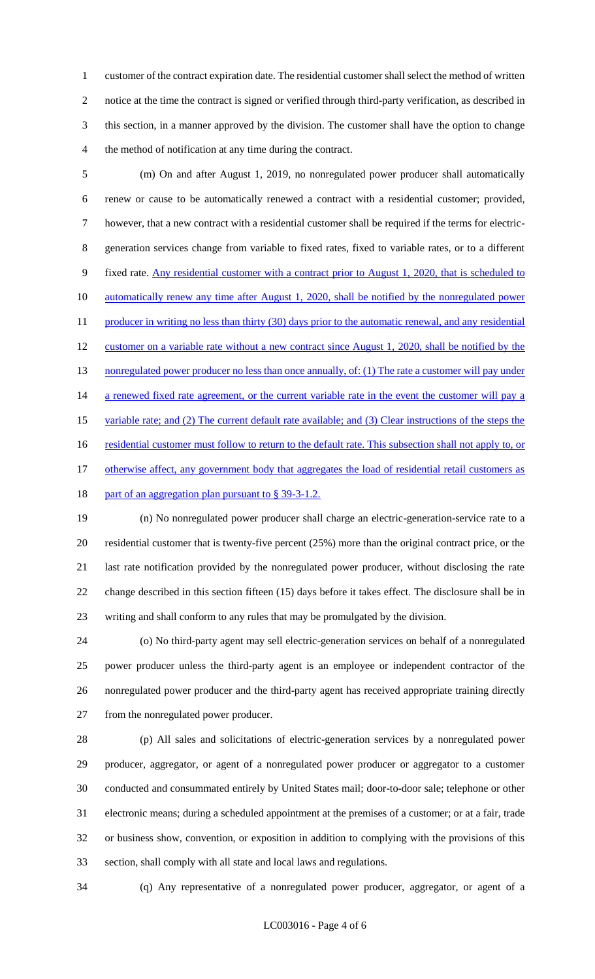customer of the contract expiration date. The residential customer shall select the method of written notice at the time the contract is signed or verified through third-party verification, as described in this section, in a manner approved by the division. The customer shall have the option to change the method of notification at any time during the contract.

 (m) On and after August 1, 2019, no nonregulated power producer shall automatically renew or cause to be automatically renewed a contract with a residential customer; provided, however, that a new contract with a residential customer shall be required if the terms for electric- generation services change from variable to fixed rates, fixed to variable rates, or to a different fixed rate. Any residential customer with a contract prior to August 1, 2020, that is scheduled to 10 automatically renew any time after August 1, 2020, shall be notified by the nonregulated power 11 producer in writing no less than thirty (30) days prior to the automatic renewal, and any residential 12 customer on a variable rate without a new contract since August 1, 2020, shall be notified by the 13 nonregulated power producer no less than once annually, of: (1) The rate a customer will pay under 14 a renewed fixed rate agreement, or the current variable rate in the event the customer will pay a 15 variable rate; and (2) The current default rate available; and (3) Clear instructions of the steps the 16 residential customer must follow to return to the default rate. This subsection shall not apply to, or 17 otherwise affect, any government body that aggregates the load of residential retail customers as 18 part of an aggregation plan pursuant to § 39-3-1.2.

 (n) No nonregulated power producer shall charge an electric-generation-service rate to a residential customer that is twenty-five percent (25%) more than the original contract price, or the last rate notification provided by the nonregulated power producer, without disclosing the rate change described in this section fifteen (15) days before it takes effect. The disclosure shall be in writing and shall conform to any rules that may be promulgated by the division.

 (o) No third-party agent may sell electric-generation services on behalf of a nonregulated power producer unless the third-party agent is an employee or independent contractor of the nonregulated power producer and the third-party agent has received appropriate training directly from the nonregulated power producer.

 (p) All sales and solicitations of electric-generation services by a nonregulated power producer, aggregator, or agent of a nonregulated power producer or aggregator to a customer conducted and consummated entirely by United States mail; door-to-door sale; telephone or other electronic means; during a scheduled appointment at the premises of a customer; or at a fair, trade or business show, convention, or exposition in addition to complying with the provisions of this section, shall comply with all state and local laws and regulations.

(q) Any representative of a nonregulated power producer, aggregator, or agent of a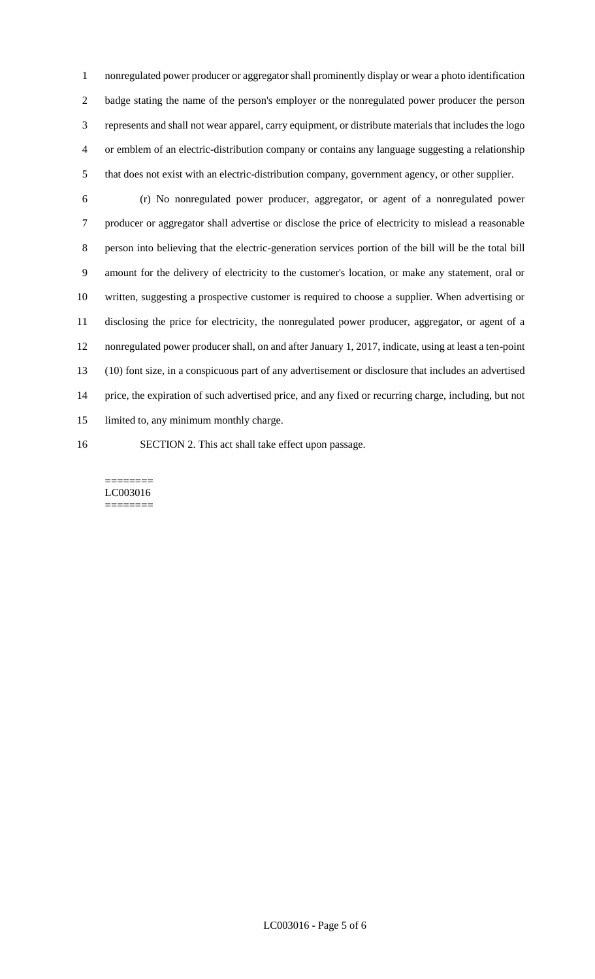nonregulated power producer or aggregator shall prominently display or wear a photo identification badge stating the name of the person's employer or the nonregulated power producer the person represents and shall not wear apparel, carry equipment, or distribute materials that includes the logo or emblem of an electric-distribution company or contains any language suggesting a relationship that does not exist with an electric-distribution company, government agency, or other supplier.

- (r) No nonregulated power producer, aggregator, or agent of a nonregulated power producer or aggregator shall advertise or disclose the price of electricity to mislead a reasonable person into believing that the electric-generation services portion of the bill will be the total bill amount for the delivery of electricity to the customer's location, or make any statement, oral or written, suggesting a prospective customer is required to choose a supplier. When advertising or disclosing the price for electricity, the nonregulated power producer, aggregator, or agent of a nonregulated power producer shall, on and after January 1, 2017, indicate, using at least a ten-point (10) font size, in a conspicuous part of any advertisement or disclosure that includes an advertised price, the expiration of such advertised price, and any fixed or recurring charge, including, but not limited to, any minimum monthly charge. SECTION 2. This act shall take effect upon passage.
	- ======== LC003016 ========